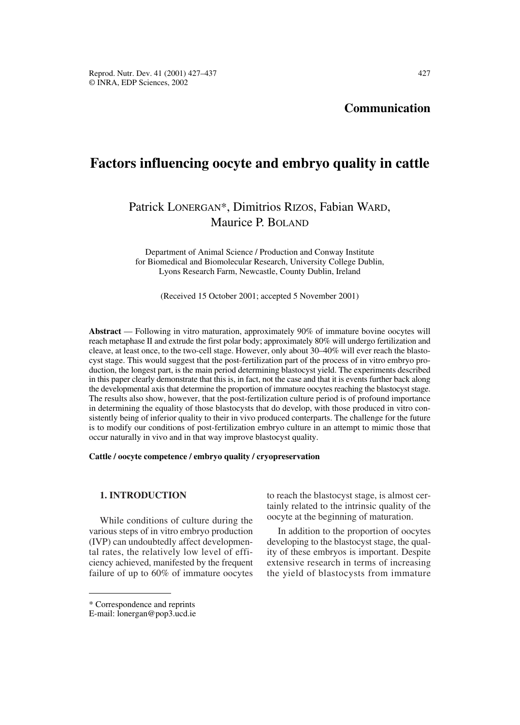**Communication**

# **Factors influencing oocyte and embryo quality in cattle**

# Patrick LONERGAN\*, Dimitrios RIZOS, Fabian WARD, Maurice P. BOLAND

Department of Animal Science / Production and Conway Institute for Biomedical and Biomolecular Research, University College Dublin, Lyons Research Farm, Newcastle, County Dublin, Ireland

(Received 15 October 2001; accepted 5 November 2001)

**Abstract** — Following in vitro maturation, approximately 90% of immature bovine oocytes will reach metaphase II and extrude the first polar body; approximately 80% will undergo fertilization and cleave, at least once, to the two-cell stage. However, only about 30–40% will ever reach the blastocyst stage. This would suggest that the post-fertilization part of the process of in vitro embryo production, the longest part, is the main period determining blastocyst yield. The experiments described in this paper clearly demonstrate that this is, in fact, not the case and that it is events further back along the developmental axis that determine the proportion of immature oocytes reaching the blastocyst stage. The results also show, however, that the post-fertilization culture period is of profound importance in determining the equality of those blastocysts that do develop, with those produced in vitro consistently being of inferior quality to their in vivo produced conterparts. The challenge for the future is to modify our conditions of post-fertilization embryo culture in an attempt to mimic those that occur naturally in vivo and in that way improve blastocyst quality.

#### **Cattle / oocyte competence / embryo quality / cryopreservation**

## **1. INTRODUCTION**

While conditions of culture during the various steps of in vitro embryo production (IVP) can undoubtedly affect developmental rates, the relatively low level of efficiency achieved, manifested by the frequent failure of up to 60% of immature oocytes to reach the blastocyst stage, is almost certainly related to the intrinsic quality of the oocyte at the beginning of maturation.

In addition to the proportion of oocytes developing to the blastocyst stage, the quality of these embryos is important. Despite extensive research in terms of increasing the yield of blastocysts from immature

<sup>\*</sup> Correspondence and reprints

E-mail: lonergan@pop3.ucd.ie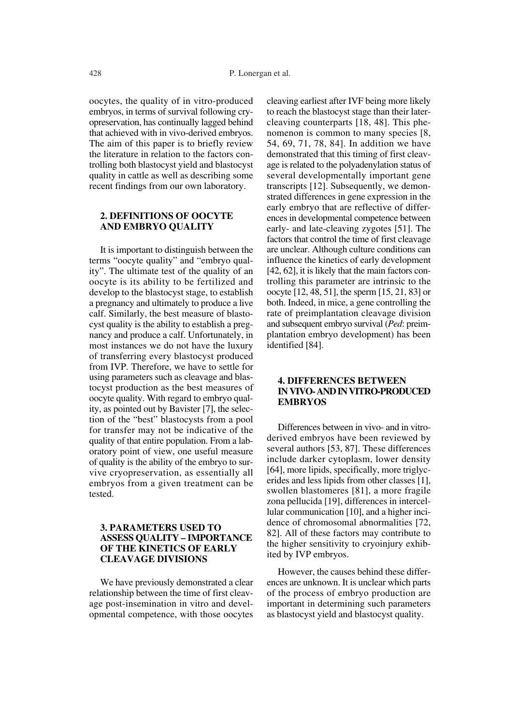oocytes, the quality of in vitro-produced embryos, in terms of survival following cryopreservation, has continually lagged behind that achieved with in vivo-derived embryos. The aim of this paper is to briefly review the literature in relation to the factors controlling both blastocyst yield and blastocyst quality in cattle as well as describing some recent findings from our own laboratory.

#### **2. DEFINITIONS OF OOCYTE AND EMBRYO QUALITY**

It is important to distinguish between the terms "oocyte quality" and "embryo quality". The ultimate test of the quality of an oocyte is its ability to be fertilized and develop to the blastocyst stage, to establish a pregnancy and ultimately to produce a live calf. Similarly, the best measure of blastocyst quality is the ability to establish a pregnancy and produce a calf. Unfortunately, in most instances we do not have the luxury of transferring every blastocyst produced from IVP. Therefore, we have to settle for using parameters such as cleavage and blastocyst production as the best measures of oocyte quality. With regard to embryo quality, as pointed out by Bavister [7], the selection of the "best" blastocysts from a pool for transfer may not be indicative of the quality of that entire population. From a laboratory point of view, one useful measure of quality is the ability of the embryo to survive cryopreservation, as essentially all embryos from a given treatment can be tested.

## **3. PARAMETERS USED TO ASSESS QUALITY – IMPORTANCE OF THE KINETICS OF EARLY CLEAVAGE DIVISIONS**

We have previously demonstrated a clear relationship between the time of first cleavage post-insemination in vitro and developmental competence, with those oocytes cleaving earliest after IVF being more likely to reach the blastocyst stage than their latercleaving counterparts [18, 48]. This phenomenon is common to many species [8, 54, 69, 71, 78, 84]. In addition we have demonstrated that this timing of first cleavage is related to the polyadenylation status of several developmentally important gene transcripts [12]. Subsequently, we demonstrated differences in gene expression in the early embryo that are reflective of differences in developmental competence between early- and late-cleaving zygotes [51]. The factors that control the time of first cleavage are unclear. Although culture conditions can influence the kinetics of early development [42, 62], it is likely that the main factors controlling this parameter are intrinsic to the oocyte [12, 48, 51], the sperm [15, 21, 83] or both. Indeed, in mice, a gene controlling the rate of preimplantation cleavage division and subsequent embryo survival (*Ped*: preimplantation embryo development) has been identified [84].

## **4. DIFFERENCES BETWEEN IN VIVO- AND IN VITRO-PRODUCED EMBRYOS**

Differences between in vivo- and in vitroderived embryos have been reviewed by several authors [53, 87]. These differences include darker cytoplasm, lower density [64], more lipids, specifically, more triglycerides and less lipids from other classes [1], swollen blastomeres [81], a more fragile zona pellucida [19], differences in intercellular communication [10], and a higher incidence of chromosomal abnormalities [72, 82]. All of these factors may contribute to the higher sensitivity to cryoinjury exhibited by IVP embryos.

However, the causes behind these differences are unknown. It is unclear which parts of the process of embryo production are important in determining such parameters as blastocyst yield and blastocyst quality.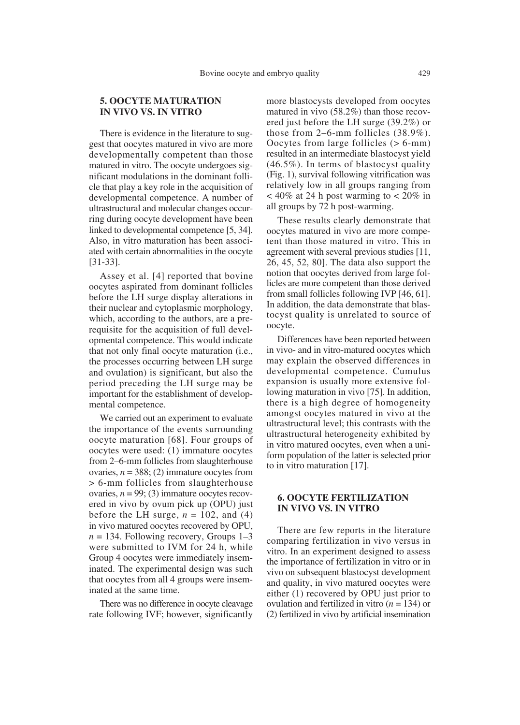## **5. OOCYTE MATURATION IN VIVO VS. IN VITRO**

There is evidence in the literature to suggest that oocytes matured in vivo are more developmentally competent than those matured in vitro. The oocyte undergoes significant modulations in the dominant follicle that play a key role in the acquisition of developmental competence. A number of ultrastructural and molecular changes occurring during oocyte development have been linked to developmental competence [5, 34]. Also, in vitro maturation has been associated with certain abnormalities in the oocyte [31-33].

Assey et al. [4] reported that bovine oocytes aspirated from dominant follicles before the LH surge display alterations in their nuclear and cytoplasmic morphology, which, according to the authors, are a prerequisite for the acquisition of full developmental competence. This would indicate that not only final oocyte maturation (i.e., the processes occurring between LH surge and ovulation) is significant, but also the period preceding the LH surge may be important for the establishment of developmental competence.

We carried out an experiment to evaluate the importance of the events surrounding oocyte maturation [68]. Four groups of oocytes were used: (1) immature oocytes from 2–6-mm follicles from slaughterhouse ovaries,  $n = 388$ ; (2) immature oocytes from > 6-mm follicles from slaughterhouse ovaries,  $n = 99$ ; (3) immature oocytes recovered in vivo by ovum pick up (OPU) just before the LH surge,  $n = 102$ , and (4) in vivo matured oocytes recovered by OPU,  $n = 134$ . Following recovery, Groups 1–3 were submitted to IVM for 24 h, while Group 4 oocytes were immediately inseminated. The experimental design was such that oocytes from all 4 groups were inseminated at the same time.

There was no difference in oocyte cleavage rate following IVF; however, significantly more blastocysts developed from oocytes matured in vivo (58.2%) than those recovered just before the LH surge (39.2%) or those from 2–6-mm follicles (38.9%). Oocytes from large follicles (> 6-mm) resulted in an intermediate blastocyst yield (46.5%). In terms of blastocyst quality (Fig. 1), survival following vitrification was relatively low in all groups ranging from  $< 40\%$  at 24 h post warming to  $< 20\%$  in all groups by 72 h post-warming.

These results clearly demonstrate that oocytes matured in vivo are more competent than those matured in vitro. This in agreement with several previous studies [11, 26, 45, 52, 80]. The data also support the notion that oocytes derived from large follicles are more competent than those derived from small follicles following IVP [46, 61]. In addition, the data demonstrate that blastocyst quality is unrelated to source of oocyte.

Differences have been reported between in vivo- and in vitro-matured oocytes which may explain the observed differences in developmental competence. Cumulus expansion is usually more extensive following maturation in vivo [75]. In addition, there is a high degree of homogeneity amongst oocytes matured in vivo at the ultrastructural level; this contrasts with the ultrastructural heterogeneity exhibited by in vitro matured oocytes, even when a uniform population of the latter is selected prior to in vitro maturation [17].

#### **6. OOCYTE FERTILIZATION IN VIVO VS. IN VITRO**

There are few reports in the literature comparing fertilization in vivo versus in vitro. In an experiment designed to assess the importance of fertilization in vitro or in vivo on subsequent blastocyst development and quality, in vivo matured oocytes were either (1) recovered by OPU just prior to ovulation and fertilized in vitro (*n* = 134) or (2) fertilized in vivo by artificial insemination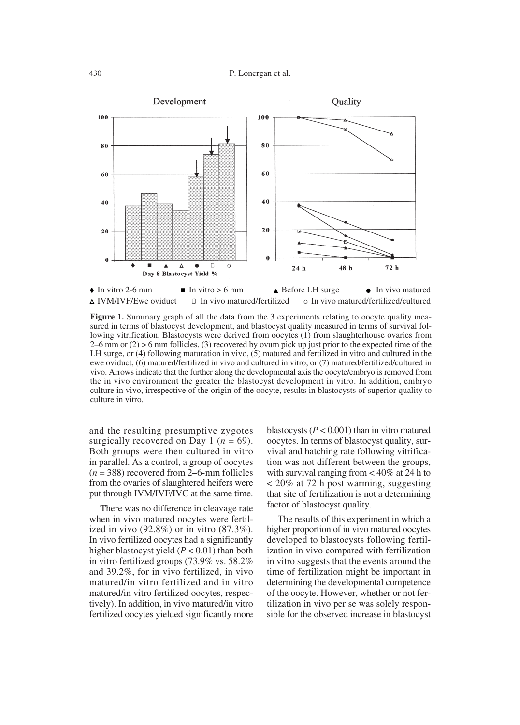

**Figure 1.** Summary graph of all the data from the 3 experiments relating to oocyte quality measured in terms of blastocyst development, and blastocyst quality measured in terms of survival following vitrification. Blastocysts were derived from oocytes (1) from slaughterhouse ovaries from  $2-6$  mm or  $(2) > 6$  mm follicles,  $(3)$  recovered by ovum pick up just prior to the expected time of the LH surge, or (4) following maturation in vivo, (5) matured and fertilized in vitro and cultured in the ewe oviduct, (6) matured/fertilized in vivo and cultured in vitro, or (7) matured/fertilized/cultured in vivo. Arrows indicate that the further along the developmental axis the oocyte/embryo is removed from the in vivo environment the greater the blastocyst development in vitro. In addition, embryo culture in vivo, irrespective of the origin of the oocyte, results in blastocysts of superior quality to culture in vitro.

and the resulting presumptive zygotes surgically recovered on Day 1 ( $n = 69$ ). Both groups were then cultured in vitro in parallel. As a control, a group of oocytes  $(n = 388)$  recovered from 2–6-mm follicles from the ovaries of slaughtered heifers were put through IVM/IVF/IVC at the same time.

There was no difference in cleavage rate when in vivo matured oocytes were fertilized in vivo (92.8%) or in vitro (87.3%). In vivo fertilized oocytes had a significantly higher blastocyst yield (*P* < 0.01) than both in vitro fertilized groups (73.9% vs. 58.2% and 39.2%, for in vivo fertilized, in vivo matured/in vitro fertilized and in vitro matured/in vitro fertilized oocytes, respectively). In addition, in vivo matured/in vitro fertilized oocytes yielded significantly more blastocysts  $(P < 0.001)$  than in vitro matured oocytes. In terms of blastocyst quality, survival and hatching rate following vitrification was not different between the groups, with survival ranging from  $< 40\%$  at 24 h to < 20% at 72 h post warming, suggesting that site of fertilization is not a determining factor of blastocyst quality.

The results of this experiment in which a higher proportion of in vivo matured oocytes developed to blastocysts following fertilization in vivo compared with fertilization in vitro suggests that the events around the time of fertilization might be important in determining the developmental competence of the oocyte. However, whether or not fertilization in vivo per se was solely responsible for the observed increase in blastocyst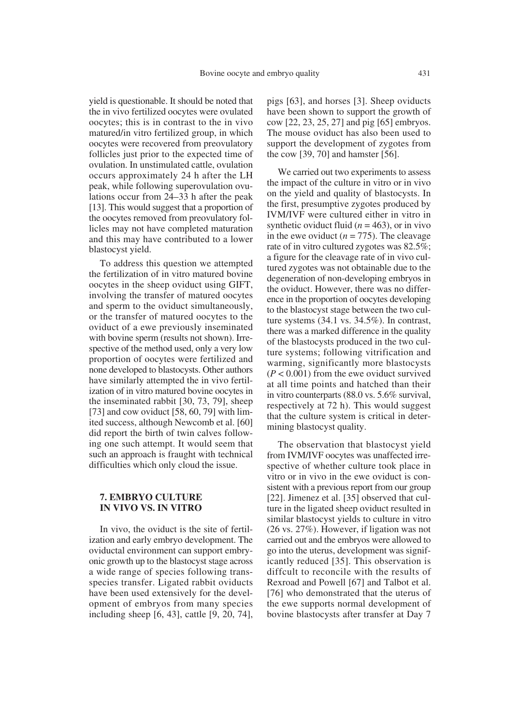yield is questionable. It should be noted that the in vivo fertilized oocytes were ovulated oocytes; this is in contrast to the in vivo matured/in vitro fertilized group, in which oocytes were recovered from preovulatory follicles just prior to the expected time of ovulation. In unstimulated cattle, ovulation occurs approximately 24 h after the LH peak, while following superovulation ovulations occur from 24–33 h after the peak [13]. This would suggest that a proportion of the oocytes removed from preovulatory follicles may not have completed maturation and this may have contributed to a lower blastocyst yield.

To address this question we attempted the fertilization of in vitro matured bovine oocytes in the sheep oviduct using GIFT, involving the transfer of matured oocytes and sperm to the oviduct simultaneously, or the transfer of matured oocytes to the oviduct of a ewe previously inseminated with bovine sperm (results not shown). Irrespective of the method used, only a very low proportion of oocytes were fertilized and none developed to blastocysts. Other authors have similarly attempted the in vivo fertilization of in vitro matured bovine oocytes in the inseminated rabbit [30, 73, 79], sheep [73] and cow oviduct  $[58, 60, 79]$  with limited success, although Newcomb et al. [60] did report the birth of twin calves following one such attempt. It would seem that such an approach is fraught with technical difficulties which only cloud the issue.

## **7. EMBRYO CULTURE IN VIVO VS. IN VITRO**

In vivo, the oviduct is the site of fertilization and early embryo development. The oviductal environment can support embryonic growth up to the blastocyst stage across a wide range of species following transspecies transfer. Ligated rabbit oviducts have been used extensively for the development of embryos from many species including sheep [6, 43], cattle [9, 20, 74],

pigs [63], and horses [3]. Sheep oviducts have been shown to support the growth of cow [22, 23, 25, 27] and pig [65] embryos. The mouse oviduct has also been used to support the development of zygotes from the cow [39, 70] and hamster [56].

We carried out two experiments to assess the impact of the culture in vitro or in vivo on the yield and quality of blastocysts. In the first, presumptive zygotes produced by IVM/IVF were cultured either in vitro in synthetic oviduct fluid  $(n = 463)$ , or in vivo in the ewe oviduct  $(n = 775)$ . The cleavage rate of in vitro cultured zygotes was 82.5%; a figure for the cleavage rate of in vivo cultured zygotes was not obtainable due to the degeneration of non-developing embryos in the oviduct. However, there was no difference in the proportion of oocytes developing to the blastocyst stage between the two culture systems (34.1 vs. 34.5%). In contrast, there was a marked difference in the quality of the blastocysts produced in the two culture systems; following vitrification and warming, significantly more blastocysts (*P* < 0.001) from the ewe oviduct survived at all time points and hatched than their in vitro counterparts (88.0 vs. 5.6% survival, respectively at 72 h). This would suggest that the culture system is critical in determining blastocyst quality.

The observation that blastocyst yield from IVM/IVF oocytes was unaffected irrespective of whether culture took place in vitro or in vivo in the ewe oviduct is consistent with a previous report from our group [22]. Jimenez et al. [35] observed that culture in the ligated sheep oviduct resulted in similar blastocyst yields to culture in vitro (26 vs. 27%). However, if ligation was not carried out and the embryos were allowed to go into the uterus, development was significantly reduced [35]. This observation is diffcult to reconcile with the results of Rexroad and Powell [67] and Talbot et al. [76] who demonstrated that the uterus of the ewe supports normal development of bovine blastocysts after transfer at Day 7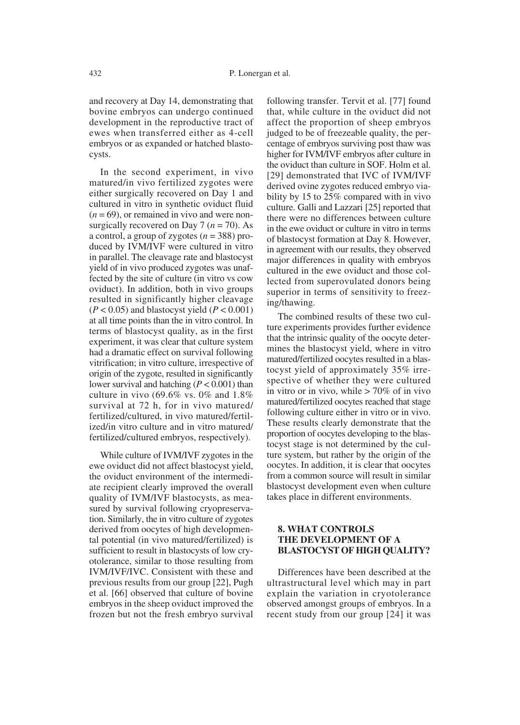and recovery at Day 14, demonstrating that bovine embryos can undergo continued development in the reproductive tract of ewes when transferred either as 4-cell embryos or as expanded or hatched blastocysts.

In the second experiment, in vivo matured/in vivo fertilized zygotes were either surgically recovered on Day 1 and cultured in vitro in synthetic oviduct fluid  $(n = 69)$ , or remained in vivo and were nonsurgically recovered on Day  $7 (n = 70)$ . As a control, a group of zygotes (*n* = 388) produced by IVM/IVF were cultured in vitro in parallel. The cleavage rate and blastocyst yield of in vivo produced zygotes was unaffected by the site of culture (in vitro vs cow oviduct). In addition, both in vivo groups resulted in significantly higher cleavage  $(P < 0.05)$  and blastocyst yield  $(P < 0.001)$ at all time points than the in vitro control. In terms of blastocyst quality, as in the first experiment, it was clear that culture system had a dramatic effect on survival following vitrification; in vitro culture, irrespective of origin of the zygote, resulted in significantly lower survival and hatching (*P* < 0.001) than culture in vivo (69.6% vs. 0% and  $1.8\%$ survival at 72 h, for in vivo matured/ fertilized/cultured, in vivo matured/fertilized/in vitro culture and in vitro matured/ fertilized/cultured embryos, respectively).

While culture of IVM/IVF zygotes in the ewe oviduct did not affect blastocyst yield, the oviduct environment of the intermediate recipient clearly improved the overall quality of IVM/IVF blastocysts, as measured by survival following cryopreservation. Similarly, the in vitro culture of zygotes derived from oocytes of high developmental potential (in vivo matured/fertilized) is sufficient to result in blastocysts of low cryotolerance, similar to those resulting from IVM/IVF/IVC. Consistent with these and previous results from our group [22], Pugh et al. [66] observed that culture of bovine embryos in the sheep oviduct improved the frozen but not the fresh embryo survival

following transfer. Tervit et al. [77] found that, while culture in the oviduct did not affect the proportion of sheep embryos judged to be of freezeable quality, the percentage of embryos surviving post thaw was higher for IVM/IVF embryos after culture in the oviduct than culture in SOF. Holm et al. [29] demonstrated that IVC of IVM/IVF derived ovine zygotes reduced embryo viability by 15 to 25% compared with in vivo culture. Galli and Lazzari [25] reported that there were no differences between culture in the ewe oviduct or culture in vitro in terms of blastocyst formation at Day 8. However, in agreement with our results, they observed major differences in quality with embryos cultured in the ewe oviduct and those collected from superovulated donors being superior in terms of sensitivity to freezing/thawing.

The combined results of these two culture experiments provides further evidence that the intrinsic quality of the oocyte determines the blastocyst yield, where in vitro matured/fertilized oocytes resulted in a blastocyst yield of approximately 35% irrespective of whether they were cultured in vitro or in vivo, while  $> 70\%$  of in vivo matured/fertilized oocytes reached that stage following culture either in vitro or in vivo. These results clearly demonstrate that the proportion of oocytes developing to the blastocyst stage is not determined by the culture system, but rather by the origin of the oocytes. In addition, it is clear that oocytes from a common source will result in similar blastocyst development even when culture takes place in different environments.

## **8. WHAT CONTROLS THE DEVELOPMENT OF A BLASTOCYST OF HIGH QUALITY?**

Differences have been described at the ultrastructural level which may in part explain the variation in cryotolerance observed amongst groups of embryos. In a recent study from our group [24] it was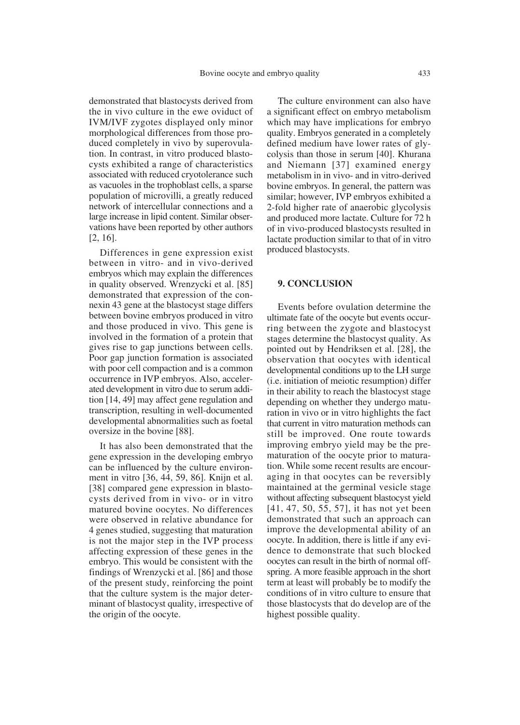demonstrated that blastocysts derived from the in vivo culture in the ewe oviduct of IVM/IVF zygotes displayed only minor morphological differences from those produced completely in vivo by superovulation. In contrast, in vitro produced blastocysts exhibited a range of characteristics associated with reduced cryotolerance such as vacuoles in the trophoblast cells, a sparse population of microvilli, a greatly reduced network of intercellular connections and a large increase in lipid content. Similar observations have been reported by other authors [2, 16].

Differences in gene expression exist between in vitro- and in vivo-derived embryos which may explain the differences in quality observed. Wrenzycki et al. [85] demonstrated that expression of the connexin 43 gene at the blastocyst stage differs between bovine embryos produced in vitro and those produced in vivo. This gene is involved in the formation of a protein that gives rise to gap junctions between cells. Poor gap junction formation is associated with poor cell compaction and is a common occurrence in IVP embryos. Also, accelerated development in vitro due to serum addition [14, 49] may affect gene regulation and transcription, resulting in well-documented developmental abnormalities such as foetal oversize in the bovine [88].

It has also been demonstrated that the gene expression in the developing embryo can be influenced by the culture environment in vitro [36, 44, 59, 86]. Knijn et al. [38] compared gene expression in blastocysts derived from in vivo- or in vitro matured bovine oocytes. No differences were observed in relative abundance for 4 genes studied, suggesting that maturation is not the major step in the IVP process affecting expression of these genes in the embryo. This would be consistent with the findings of Wrenzycki et al. [86] and those of the present study, reinforcing the point that the culture system is the major determinant of blastocyst quality, irrespective of the origin of the oocyte.

The culture environment can also have a significant effect on embryo metabolism which may have implications for embryo quality. Embryos generated in a completely defined medium have lower rates of glycolysis than those in serum [40]. Khurana and Niemann [37] examined energy metabolism in in vivo- and in vitro-derived bovine embryos. In general, the pattern was similar; however, IVP embryos exhibited a 2-fold higher rate of anaerobic glycolysis and produced more lactate. Culture for 72 h of in vivo-produced blastocysts resulted in lactate production similar to that of in vitro produced blastocysts.

#### **9. CONCLUSION**

Events before ovulation determine the ultimate fate of the oocyte but events occurring between the zygote and blastocyst stages determine the blastocyst quality. As pointed out by Hendriksen et al. [28], the observation that oocytes with identical developmental conditions up to the LH surge (i.e. initiation of meiotic resumption) differ in their ability to reach the blastocyst stage depending on whether they undergo maturation in vivo or in vitro highlights the fact that current in vitro maturation methods can still be improved. One route towards improving embryo yield may be the prematuration of the oocyte prior to maturation. While some recent results are encouraging in that oocytes can be reversibly maintained at the germinal vesicle stage without affecting subsequent blastocyst yield [41, 47, 50, 55, 57], it has not yet been demonstrated that such an approach can improve the developmental ability of an oocyte. In addition, there is little if any evidence to demonstrate that such blocked oocytes can result in the birth of normal offspring. A more feasible approach in the short term at least will probably be to modify the conditions of in vitro culture to ensure that those blastocysts that do develop are of the highest possible quality.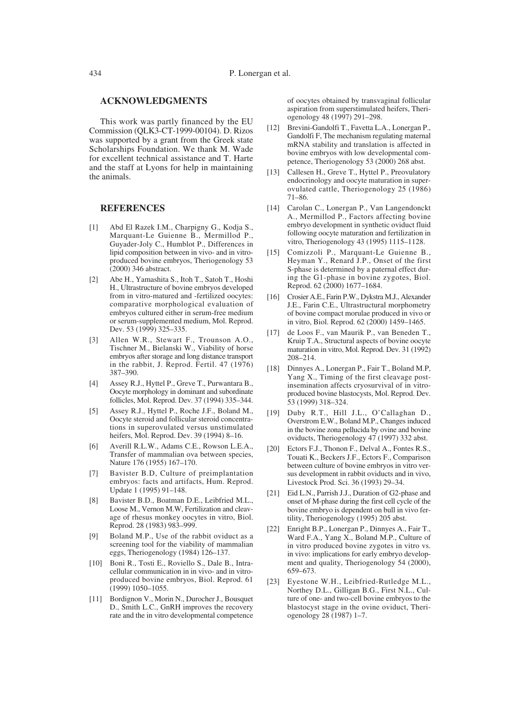#### **ACKNOWLEDGMENTS**

This work was partly financed by the EU Commission (QLK3-CT-1999-00104). D. Rizos was supported by a grant from the Greek state Scholarships Foundation. We thank M. Wade for excellent technical assistance and T. Harte and the staff at Lyons for help in maintaining the animals.

#### **REFERENCES**

- [1] Abd El Razek I.M., Charpigny G., Kodja S., Marquant-Le Guienne B., Mermillod P., Guyader-Joly C., Humblot P., Differences in lipid composition between in vivo- and in vitroproduced bovine embryos, Theriogenology 53 (2000) 346 abstract.
- [2] Abe H., Yamashita S., Itoh T., Satoh T., Hoshi H., Ultrastructure of bovine embryos developed from in vitro-matured and -fertilized oocytes: comparative morphological evaluation of embryos cultured either in serum-free medium or serum-supplemented medium, Mol. Reprod. Dev. 53 (1999) 325–335.
- [3] Allen W.R., Stewart F., Trounson A.O., Tischner M., Bielanski W., Viability of horse embryos after storage and long distance transport in the rabbit, J. Reprod. Fertil. 47 (1976) 387–390.
- [4] Assey R.J., Hyttel P., Greve T., Purwantara B., Oocyte morphology in dominant and subordinate follicles, Mol. Reprod. Dev. 37 (1994) 335–344.
- [5] Assey R.J., Hyttel P., Roche J.F., Boland M., Oocyte steroid and follicular steroid concentrations in superovulated versus unstimulated heifers, Mol. Reprod. Dev. 39 (1994) 8–16.
- [6] Averill R.L.W., Adams C.E., Rowson L.E.A., Transfer of mammalian ova between species, Nature 176 (1955) 167–170.
- [7] Bavister B.D, Culture of preimplantation embryos: facts and artifacts, Hum. Reprod. Update 1 (1995) 91–148.
- [8] Bavister B.D., Boatman D.E., Leibfried M.L., Loose M., Vernon M.W, Fertilization and cleavage of rhesus monkey oocytes in vitro, Biol. Reprod. 28 (1983) 983–999.
- [9] Boland M.P., Use of the rabbit oviduct as a screening tool for the viability of mammalian eggs, Theriogenology (1984) 126–137.
- [10] Boni R., Tosti E., Roviello S., Dale B., Intracellular communication in in vivo- and in vitroproduced bovine embryos, Biol. Reprod. 61 (1999) 1050–1055.
- [11] Bordignon V., Morin N., Durocher J., Bousquet D., Smith L.C., GnRH improves the recovery rate and the in vitro developmental competence

of oocytes obtained by transvaginal follicular aspiration from superstimulated heifers, Theriogenology 48 (1997) 291–298.

- [12] Brevini-Gandolfi T., Favetta L.A., Lonergan P., Gandolfi F, The mechanism regulating maternal mRNA stability and translation is affected in bovine embryos with low developmental competence, Theriogenology 53 (2000) 268 abst.
- [13] Callesen H., Greve T., Hyttel P., Preovulatory endocrinology and oocyte maturation in superovulated cattle, Theriogenology 25 (1986) 71–86.
- [14] Carolan C., Lonergan P., Van Langendonckt A., Mermillod P., Factors affecting bovine embryo development in synthetic oviduct fluid following oocyte maturation and fertilization in vitro, Theriogenology 43 (1995) 1115–1128.
- [15] Comizzoli P., Marquant-Le Guienne B., Heyman Y., Renard J.P., Onset of the first S-phase is determined by a paternal effect during the G1-phase in bovine zygotes, Biol. Reprod. 62 (2000) 1677–1684.
- [16] Crosier A.E., Farin P.W., Dykstra M.J., Alexander J.E., Farin C.E., Ultrastructural morphometry of bovine compact morulae produced in vivo or in vitro, Biol. Reprod. 62 (2000) 1459–1465.
- [17] de Loos F., van Maurik P., van Beneden T., Kruip T.A., Structural aspects of bovine oocyte maturation in vitro, Mol. Reprod. Dev. 31 (1992) 208–214.
- [18] Dinnyes A., Lonergan P., Fair T., Boland M.P, Yang X., Timing of the first cleavage postinsemination affects cryosurvival of in vitroproduced bovine blastocysts, Mol. Reprod. Dev. 53 (1999) 318–324.
- [19] Duby R.T., Hill J.L., O'Callaghan D., Overstrom E.W., Boland M.P., Changes induced in the bovine zona pellucida by ovine and bovine oviducts, Theriogenology 47 (1997) 332 abst.
- [20] Ectors F.J., Thonon F., Delval A., Fontes R.S., Touati K., Beckers J.F., Ectors F., Comparison between culture of bovine embryos in vitro versus development in rabbit oviducts and in vivo, Livestock Prod. Sci. 36 (1993) 29–34.
- [21] Eid L.N., Parrish J.J., Duration of G2-phase and onset of M-phase during the first cell cycle of the bovine embryo is dependent on bull in vivo fertility, Theriogenology (1995) 205 abst.
- [22] Enright B.P., Lonergan P., Dinnyes A., Fair T., Ward F.A., Yang X., Boland M.P., Culture of in vitro produced bovine zygotes in vitro vs. in vivo: implications for early embryo development and quality, Theriogenology 54 (2000), 659–673.
- [23] Eyestone W.H., Leibfried-Rutledge M.L., Northey D.L., Gilligan B.G., First N.L., Culture of one- and two-cell bovine embryos to the blastocyst stage in the ovine oviduct, Theriogenology 28 (1987) 1–7.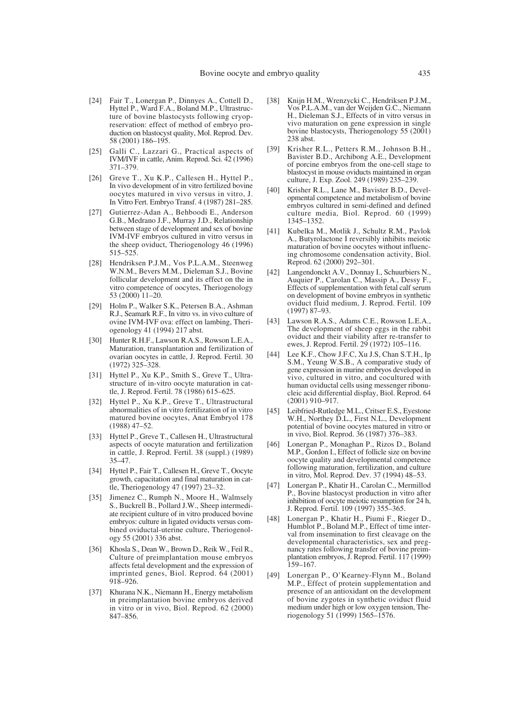- [24] Fair T., Lonergan P., Dinnyes A., Cottell D., Hyttel P., Ward F.A., Boland M.P., Ultrastructure of bovine blastocysts following cryopreservation: effect of method of embryo production on blastocyst quality, Mol. Reprod. Dev. 58 (2001) 186–195.
- [25] Galli C., Lazzari G., Practical aspects of IVM/IVF in cattle, Anim. Reprod. Sci. 42 (1996) 371–379.
- [26] Greve T., Xu K.P., Callesen H., Hyttel P., In vivo development of in vitro fertilized bovine oocytes matured in vivo versus in vitro, J. In Vitro Fert. Embryo Transf. 4 (1987) 281–285.
- [27] Gutierrez-Adan A., Behboodi E., Anderson G.B., Medrano J.F., Murray J.D., Relationship between stage of development and sex of bovine IVM-IVF embryos cultured in vitro versus in the sheep oviduct, Theriogenology 46 (1996) 515–525.
- [28] Hendriksen P.J.M., Vos P.L.A.M., Steenweg W.N.M., Bevers M.M., Dieleman S.J., Bovine follicular development and its effect on the in vitro competence of oocytes, Theriogenology 53 (2000) 11–20.
- [29] Holm P., Walker S.K., Petersen B.A., Ashman R.J., Seamark R.F., In vitro vs. in vivo culture of ovine IVM-IVF ova: effect on lambing, Theriogenology 41 (1994) 217 abst.
- [30] Hunter R.H.F., Lawson R.A.S., Rowson L.E.A., Maturation, transplantation and fertilization of ovarian oocytes in cattle, J. Reprod. Fertil. 30 (1972) 325–328.
- [31] Hyttel P., Xu K.P., Smith S., Greve T., Ultrastructure of in-vitro oocyte maturation in cattle, J. Reprod. Fertil. 78 (1986) 615–625.
- [32] Hyttel P., Xu K.P., Greve T., Ultrastructural abnormalities of in vitro fertilization of in vitro matured bovine oocytes, Anat Embryol 178 (1988) 47–52.
- [33] Hyttel P., Greve T., Callesen H., Ultrastructural aspects of oocyte maturation and fertilization in cattle, J. Reprod. Fertil. 38 (suppl.) (1989) 35–47.
- [34] Hyttel P., Fair T., Callesen H., Greve T., Oocyte growth, capacitation and final maturation in cattle, Theriogenology 47 (1997) 23–32.
- [35] Jimenez C., Rumph N., Moore H., Walmsely S., Buckrell B., Pollard J.W., Sheep intermediate recipient culture of in vitro produced bovine embryos: culture in ligated oviducts versus combined oviductal-uterine culture, Theriogenology 55 (2001) 336 abst.
- [36] Khosla S., Dean W., Brown D., Reik W., Feil R., Culture of preimplantation mouse embryos affects fetal development and the expression of imprinted genes, Biol. Reprod. 64 (2001) 918–926.
- [37] Khurana N.K., Niemann H., Energy metabolism in preimplantation bovine embryos derived in vitro or in vivo, Biol. Reprod. 62 (2000) 847–856.
- [38] Knijn H.M., Wrenzycki C., Hendriksen P.J.M., Vos P.L.A.M., van der Weijden G.C., Niemann H., Dieleman S.J., Effects of in vitro versus in vivo maturation on gene expression in single bovine blastocysts, Theriogenology 55 (2001) 238 abst.
- [39] Krisher R.L., Petters R.M., Johnson B.H., Bavister B.D., Archibong A.E., Development of porcine embryos from the one-cell stage to blastocyst in mouse oviducts maintained in organ culture, J. Exp. Zool. 249 (1989) 235–239.
- [40] Krisher R.L., Lane M., Bavister B.D., Developmental competence and metabolism of bovine embryos cultured in semi-defined and defined culture media, Biol. Reprod. 60 (1999) 1345–1352.
- [41] Kubelka M., Motlik J., Schultz R.M., Pavlok A., Butyrolactone I reversibly inhibits meiotic maturation of bovine oocytes without influencing chromosome condensation activity, Biol. Reprod. 62 (2000) 292–301.
- [42] Langendonckt A.V., Donnay I., Schuurbiers N., Auquier P., Carolan C., Massip A., Dessy F., Effects of supplementation with fetal calf serum on development of bovine embryos in synthetic oviduct fluid medium, J. Reprod. Fertil. 109 (1997) 87–93.
- [43] Lawson R.A.S., Adams C.E., Rowson L.E.A., The development of sheep eggs in the rabbit oviduct and their viability after re-transfer to ewes, J. Reprod. Fertil. 29 (1972) 105–116.
- [44] Lee K.F., Chow J.F.C, Xu J.S, Chan S.T.H., Ip S.M., Yeung W.S.B., A comparative study of gene expression in murine embryos developed in vivo, cultured in vitro, and cocultured with human oviductal cells using messenger ribonucleic acid differential display, Biol. Reprod. 64 (2001) 910–917.
- [45] Leibfried-Rutledge M.L., Critser E.S., Eyestone W.H., Northey D.L., First N.L., Development potential of bovine oocytes matured in vitro or in vivo, Biol. Reprod. 36 (1987) 376–383.
- [46] Lonergan P., Monaghan P., Rizos D., Boland M.P., Gordon I., Effect of follicle size on bovine oocyte quality and developmental competence following maturation, fertilization, and culture in vitro, Mol. Reprod. Dev. 37 (1994) 48–53.
- [47] Lonergan P., Khatir H., Carolan C., Mermillod P., Bovine blastocyst production in vitro after inhibition of oocyte meiotic resumption for 24 h, J. Reprod. Fertil. 109 (1997) 355–365.
- [48] Lonergan P., Khatir H., Piumi F., Rieger D., Humblot P., Boland M.P., Effect of time interval from insemination to first cleavage on the developmental characteristics, sex and pregnancy rates following transfer of bovine preimplantation embryos, J. Reprod. Fertil. 117 (1999) 159–167.
- [49] Lonergan P., O'Kearney-Flynn M., Boland M.P., Effect of protein supplementation and presence of an antioxidant on the development of bovine zygotes in synthetic oviduct fluid medium under high or low oxygen tension, Theriogenology 51 (1999) 1565–1576.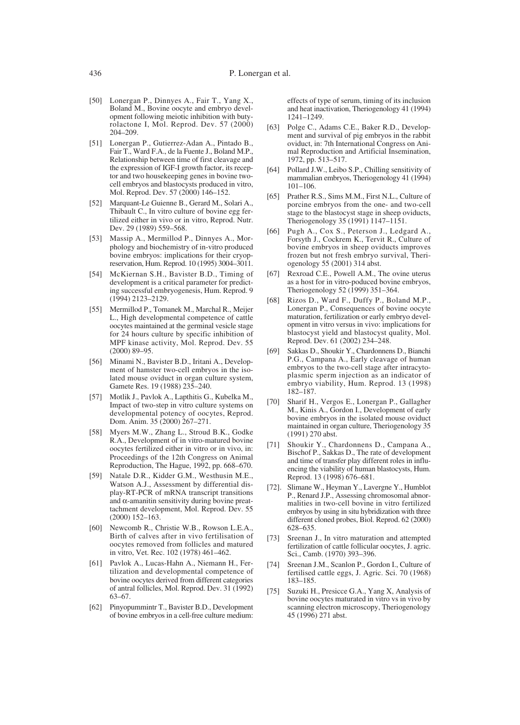- [50] Lonergan P., Dinnyes A., Fair T., Yang X., Boland M., Bovine oocyte and embryo development following meiotic inhibition with butyrolactone I, Mol. Reprod. Dev. 57 (2000) 204–209.
- [51] Lonergan P., Gutierrez-Adan A., Pintado B., Fair T., Ward F.A., de la Fuente J., Boland M.P., Relationship between time of first cleavage and the expression of IGF-I growth factor, its receptor and two housekeeping genes in bovine twocell embryos and blastocysts produced in vitro, Mol. Reprod. Dev. 57 (2000) 146–152.
- [52] Marquant-Le Guienne B., Gerard M., Solari A., Thibault C., In vitro culture of bovine egg fertilized either in vivo or in vitro, Reprod. Nutr. Dev. 29 (1989) 559–568.
- [53] Massip A., Mermillod P., Dinnyes A., Morphology and biochemistry of in-vitro produced bovine embryos: implications for their cryopreservation, Hum. Reprod. 10 (1995) 3004–3011.
- [54] McKiernan S.H., Bavister B.D., Timing of development is a critical parameter for predicting successful embryogenesis, Hum. Reprod. 9 (1994) 2123–2129.
- [55] Mermillod P., Tomanek M., Marchal R., Meijer L., High developmental competence of cattle oocytes maintained at the germinal vesicle stage for 24 hours culture by specific inhibition of MPF kinase activity, Mol. Reprod. Dev. 55 (2000) 89–95.
- [56] Minami N., Bavister B.D., Iritani A., Development of hamster two-cell embryos in the isolated mouse oviduct in organ culture system, Gamete Res. 19 (1988) 235–240.
- [57] Motlik J., Pavlok A., Lapthitis G., Kubelka M., Impact of two-step in vitro culture systems on developmental potency of oocytes, Reprod. Dom. Anim. 35 (2000) 267–271.
- [58] Myers M.W., Zhang L., Stroud B.K., Godke R.A., Development of in vitro-matured bovine oocytes fertilized either in vitro or in vivo, in: Proceedings of the 12th Congress on Animal Reproduction, The Hague, 1992, pp. 668–670.
- [59] Natale D.R., Kidder G.M., Westhusin M.E., Watson A.J., Assessment by differential display-RT-PCR of mRNA transcript transitions and  $\alpha$ -amanitin sensitivity during bovine preattachment development, Mol. Reprod. Dev. 55 (2000) 152–163.
- [60] Newcomb R., Christie W.B., Rowson L.E.A., Birth of calves after in vivo fertilisation of oocytes removed from follicles and matured in vitro, Vet. Rec. 102 (1978) 461–462.
- [61] Pavlok A., Lucas-Hahn A., Niemann H., Fertilization and developmental competence of bovine oocytes derived from different categories of antral follicles, Mol. Reprod. Dev. 31 (1992) 63–67.
- [62] Pinyopummintr T., Bavister B.D., Development of bovine embryos in a cell-free culture medium:

effects of type of serum, timing of its inclusion and heat inactivation, Theriogenology 41 (1994) 1241–1249.

- [63] Polge C., Adams C.E., Baker R.D., Development and survival of pig embryos in the rabbit oviduct, in: 7th International Congress on Animal Reproduction and Artificial Insemination, 1972, pp. 513–517.
- [64] Pollard J.W., Leibo S.P., Chilling sensitivity of mammalian embryos, Theriogenology 41 (1994) 101–106.
- [65] Prather R.S., Sims M.M., First N.L., Culture of porcine embryos from the one- and two-cell stage to the blastocyst stage in sheep oviducts, Theriogenology 35 (1991) 1147–1151.
- [66] Pugh A., Cox S., Peterson J., Ledgard A., Forsyth J., Cockrem K., Tervit R., Culture of bovine embryos in sheep oviducts improves frozen but not fresh embryo survival, Theriogenology 55 (2001) 314 abst.
- [67] Rexroad C.E., Powell A.M., The ovine uterus as a host for in vitro-poduced bovine embryos, Theriogenology 52 (1999) 351–364.
- [68] Rizos D., Ward F., Duffy P., Boland M.P., Lonergan P., Consequences of bovine oocyte maturation, fertilization or early embryo development in vitro versus in vivo: implications for blastocyst yield and blastocyst quality, Mol. Reprod. Dev. 61 (2002) 234–248.
- [69] Sakkas D., Shoukir Y., Chardonnens D., Bianchi P.G., Campana A., Early cleavage of human embryos to the two-cell stage after intracytoplasmic sperm injection as an indicator of embryo viability, Hum. Reprod. 13 (1998) 182–187.
- [70] Sharif H., Vergos E., Lonergan P., Gallagher M., Kinis A., Gordon I., Development of early bovine embryos in the isolated mouse oviduct maintained in organ culture, Theriogenology 35 (1991) 270 abst.
- [71] Shoukir Y., Chardonnens D., Campana A., Bischof P., Sakkas D., The rate of development and time of transfer play different roles in influencing the viability of human blastocysts, Hum. Reprod. 13 (1998) 676–681.
- [72]. Slimane W., Heyman Y., Lavergne Y., Humblot P., Renard J.P., Assessing chromosomal abnormalities in two-cell bovine in vitro fertilized embryos by using in situ hybridization with three different cloned probes, Biol. Reprod. 62 (2000) 628–635.
- [73] Sreenan J., In vitro maturation and attempted fertilization of cattle follicular oocytes, J. agric. Sci., Camb. (1970) 393–396.
- Sreenan J.M., Scanlon P., Gordon I., Culture of fertilised cattle eggs, J. Agric. Sci. 70 (1968) 183–185.
- [75] Suzuki H., Presicce G.A., Yang X, Analysis of bovine oocytes maturated in vitro vs in vivo by scanning electron microscopy, Theriogenology 45 (1996) 271 abst.